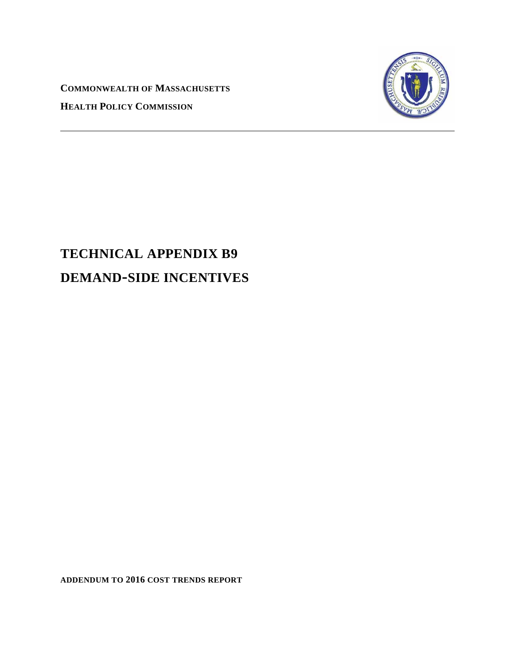**COMMONWEALTH OF MASSACHUSETTS HEALTH POLICY COMMISSION**



# **TECHNICAL APPENDIX B9 DEMAND-SIDE INCENTIVES**

**ADDENDUM TO 2016 COST TRENDS REPORT**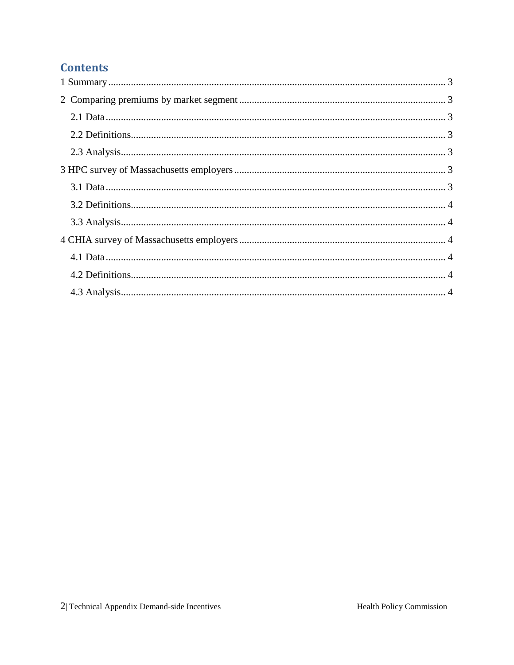## **Contents**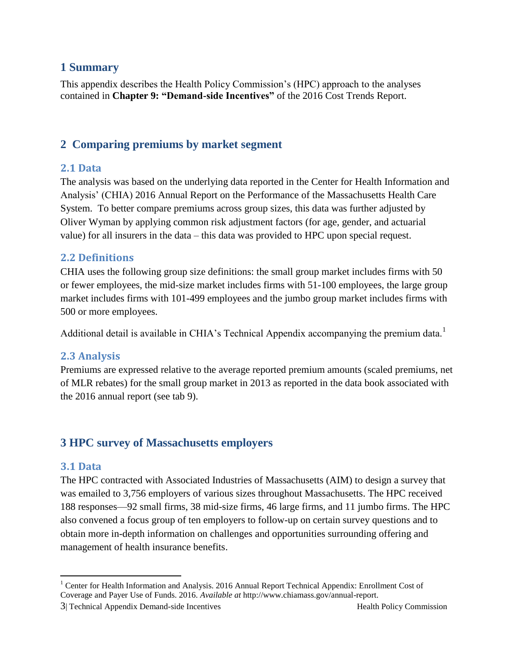#### <span id="page-2-0"></span>**1 Summary**

This appendix describes the Health Policy Commission's (HPC) approach to the analyses contained in **Chapter 9: "Demand-side Incentives"** of the 2016 Cost Trends Report.

## <span id="page-2-1"></span>**2 Comparing premiums by market segment**

#### <span id="page-2-2"></span>**2.1 Data**

The analysis was based on the underlying data reported in the Center for Health Information and Analysis' (CHIA) 2016 Annual Report on the Performance of the Massachusetts Health Care System. To better compare premiums across group sizes, this data was further adjusted by Oliver Wyman by applying common risk adjustment factors (for age, gender, and actuarial value) for all insurers in the data – this data was provided to HPC upon special request.

#### <span id="page-2-3"></span>**2.2 Definitions**

CHIA uses the following group size definitions: the small group market includes firms with 50 or fewer employees, the mid-size market includes firms with 51-100 employees, the large group market includes firms with 101-499 employees and the jumbo group market includes firms with 500 or more employees.

Additional detail is available in CHIA's Technical Appendix accompanying the premium data.<sup>1</sup>

#### <span id="page-2-4"></span>**2.3 Analysis**

Premiums are expressed relative to the average reported premium amounts (scaled premiums, net of MLR rebates) for the small group market in 2013 as reported in the data book associated with the 2016 annual report (see tab 9).

### <span id="page-2-5"></span>**3 HPC survey of Massachusetts employers**

#### <span id="page-2-6"></span>**3.1 Data**

 $\overline{a}$ 

The HPC contracted with Associated Industries of Massachusetts (AIM) to design a survey that was emailed to 3,756 employers of various sizes throughout Massachusetts. The HPC received 188 responses—92 small firms, 38 mid-size firms, 46 large firms, and 11 jumbo firms. The HPC also convened a focus group of ten employers to follow-up on certain survey questions and to obtain more in-depth information on challenges and opportunities surrounding offering and management of health insurance benefits.

<sup>&</sup>lt;sup>1</sup> Center for Health Information and Analysis. 2016 Annual Report Technical Appendix: Enrollment Cost of Coverage and Payer Use of Funds. 2016. *Available at* http://www.chiamass.gov/annual-report.